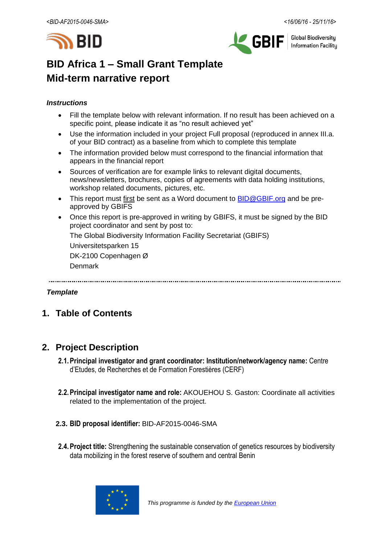



**Global Biodiversity Information Facility** 

# **BID Africa 1 – Small Grant Template Mid-term narrative report**

#### *Instructions*

- Fill the template below with relevant information. If no result has been achieved on a specific point, please indicate it as "no result achieved yet"
- Use the information included in your project Full proposal (reproduced in annex III.a. of your BID contract) as a baseline from which to complete this template
- The information provided below must correspond to the financial information that appears in the financial report
- Sources of verification are for example links to relevant digital documents, news/newsletters, brochures, copies of agreements with data holding institutions, workshop related documents, pictures, etc.
- This report must first be sent as a Word document to **BID@GBIF.org** and be preapproved by GBIFS
- Once this report is pre-approved in writing by GBIFS, it must be signed by the BID project coordinator and sent by post to:

The Global Biodiversity Information Facility Secretariat (GBIFS)

Universitetsparken 15

DK-2100 Copenhagen Ø

Denmark

#### *Template*

## **1. Table of Contents**

## **2. Project Description**

- **2.1.Principal investigator and grant coordinator: Institution/network/agency name:** Centre d'Etudes, de Recherches et de Formation Forestières (CERF)
- **2.2.Principal investigator name and role:** AKOUEHOU S. Gaston: Coordinate all activities related to the implementation of the project.
- **2.3. BID proposal identifier:** BID-AF2015-0046-SMA
- **2.4.Project title:** Strengthening the sustainable conservation of genetics resources by biodiversity data mobilizing in the forest reserve of southern and central Benin

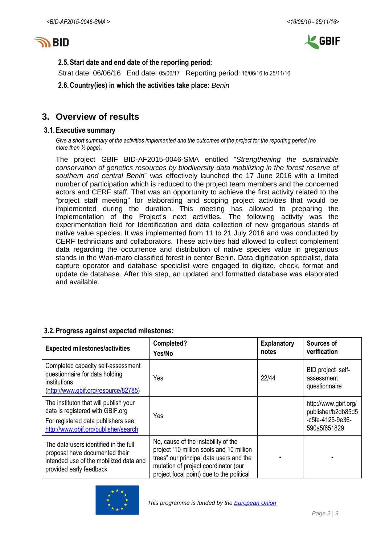



#### **2.5.Start date and end date of the reporting period:**

Strat date: 06/06/16 End date: 05/06/17 Reporting period: 16/06/16 to 25/11/16

**2.6.Country(ies) in which the activities take place:** *Benin*

### **3. Overview of results**

#### **3.1.Executive summary**

*Give a short summary of the activities implemented and the outcomes of the project for the reporting period (no more than ½ page).*

The project GBIF BID-AF2015-0046-SMA entitled "*Strengthening the sustainable conservation of genetics resources by biodiversity data mobilizing in the forest reserve of southern and central Benin*" was effectively launched the 17 June 2016 with a limited number of participation which is reduced to the project team members and the concerned actors and CERF staff. That was an opportunity to achieve the first activity related to the "project staff meeting" for elaborating and scoping project activities that would be implemented during the duration. This meeting has allowed to preparing the implementation of the Project's next activities. The following activity was the experimentation field for Identification and data collection of new gregarious stands of native value species. It was implemented from 11 to 21 July 2016 and was conducted by CERF technicians and collaborators. These activities had allowed to collect complement data regarding the occurrence and distribution of native species value in gregarious stands in the Wari-maro classified forest in center Benin. Data digitization specialist, data capture operator and database specialist were engaged to digitize, check, format and update de database. After this step, an updated and formatted database was elaborated and available.

#### **3.2.Progress against expected milestones:**

| <b>Expected milestones/activities</b>                                                                                                                    | Completed?<br>Yes/No                                                                                                                                                                                            | <b>Explanatory</b><br>notes | Sources of<br>verification                                                     |
|----------------------------------------------------------------------------------------------------------------------------------------------------------|-----------------------------------------------------------------------------------------------------------------------------------------------------------------------------------------------------------------|-----------------------------|--------------------------------------------------------------------------------|
| Completed capacity self-assessment<br>questionnaire for data holding<br>institutions<br>(http://www.gbif.org/resource/82785)                             | Yes                                                                                                                                                                                                             | 22/44                       | BID project self-<br>assessment<br>questionnaire                               |
| The instituton that will publish your<br>data is registered with GBIF.org<br>For registered data publishers see:<br>http://www.gbif.org/publisher/search | Yes                                                                                                                                                                                                             |                             | http://www.gbif.org/<br>publisher/b2db85d5<br>-c5fe-4125-9e36-<br>590a5f651829 |
| The data users identified in the full<br>proposal have documented their<br>intended use of the mobilized data and<br>provided early feedback             | No, cause of the instability of the<br>project "10 million sools and 10 million<br>trees" our principal data users and the<br>mutation of project coordinator (our<br>project focal point) due to the political |                             |                                                                                |

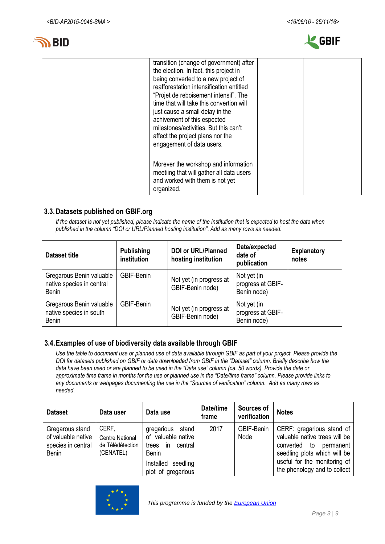



| transition (change of government) after<br>the election. In fact, this project in<br>being converted to a new project of<br>reafforestation intensification entitled<br>"Projet de reboisement intensif". The<br>time that will take this convertion will<br>just cause a small delay in the<br>achivement of this espected<br>milestones/activities. But this can't<br>affect the project plans nor the<br>engagement of data users. |  |
|---------------------------------------------------------------------------------------------------------------------------------------------------------------------------------------------------------------------------------------------------------------------------------------------------------------------------------------------------------------------------------------------------------------------------------------|--|
| Morever the workshop and information<br>meetiing that will gather all data users<br>and worked with them is not yet<br>organized.                                                                                                                                                                                                                                                                                                     |  |

#### **3.3.Datasets published on GBIF.org**

*If the dataset is not yet published, please indicate the name of the institution that is expected to host the data when published in the column "DOI or URL/Planned hosting institution". Add as many rows as needed.*

| <b>Dataset title</b>                                                | <b>Publishing</b><br>institution | <b>DOI or URL/Planned</b><br>hosting institution | Date/expected<br>date of<br>publication         | <b>Explanatory</b><br>notes |
|---------------------------------------------------------------------|----------------------------------|--------------------------------------------------|-------------------------------------------------|-----------------------------|
| Gregarous Benin valuable<br>native species in central<br>Benin      | GBIF-Benin                       | Not yet (in progress at<br>GBIF-Benin node)      | Not yet (in<br>progress at GBIF-<br>Benin node) |                             |
| Gregarous Benin valuable<br>native species in south<br><b>Benin</b> | GBIF-Benin                       | Not yet (in progress at<br>GBIF-Benin node)      | Not yet (in<br>progress at GBIF-<br>Benin node) |                             |

#### **3.4.Examples of use of biodiversity data available through GBIF**

*Use the table to document use or planned use of data available through GBIF as part of your project. Please provide the DOI for datasets published on GBIF or data downloaded from GBIF in the "Dataset" column. Briefly describe how the data have been used or are planned to be used in the "Data use" column (ca. 50 words). Provide the date or approximate time frame in months for the use or planned use in the "Date/time frame" column. Please provide links to any documents or webpages documenting the use in the "Sources of verification" column. Add as many rows as needed.*

| <b>Dataset</b>                                                       | Data user                                                        | Data use                                                                                                                                   | Date/time<br>frame | Sources of<br>verification | <b>Notes</b>                                                                                                                                                                         |
|----------------------------------------------------------------------|------------------------------------------------------------------|--------------------------------------------------------------------------------------------------------------------------------------------|--------------------|----------------------------|--------------------------------------------------------------------------------------------------------------------------------------------------------------------------------------|
| Gregarous stand<br>of valuable native<br>species in central<br>Benin | CERF,<br><b>Centre National</b><br>de Télédétection<br>(CENATEL) | stand<br>gregarious<br>of valuable native<br>central<br>trees<br><sub>in</sub><br><b>Benin</b><br>Installed seedling<br>plot of gregarious | 2017               | GBIF-Benin<br>Node         | CERF: gregarious stand of<br>valuable native trees will be<br>converted to permanent<br>seedling plots which will be<br>useful for the monitoring of<br>the phenology and to collect |

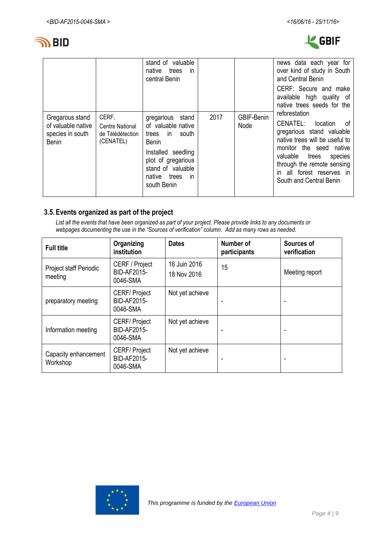



|                                                                           |                                                           | stand of valuable<br>native<br>trees<br>-in<br>central Benin                                                                                                                          |      |                    | news data each year for<br>over kind of study in South<br>and Central Benin                                                                                                                                                                           |
|---------------------------------------------------------------------------|-----------------------------------------------------------|---------------------------------------------------------------------------------------------------------------------------------------------------------------------------------------|------|--------------------|-------------------------------------------------------------------------------------------------------------------------------------------------------------------------------------------------------------------------------------------------------|
|                                                                           |                                                           |                                                                                                                                                                                       |      |                    | CERF: Secure and make<br>available high quality of<br>native trees seeds for the                                                                                                                                                                      |
| Gregarous stand<br>of valuable native<br>species in south<br><b>Benin</b> | CERF,<br>Centre National<br>de Télédétection<br>(CENATEL) | gregarious stand<br>of valuable native<br>trees in south<br><b>Benin</b><br>Installed seedling<br>plot of gregarious<br>stand of valuable<br>native trees<br><i>in</i><br>south Benin | 2017 | GBIF-Benin<br>Node | reforestation<br>CENATEL: location<br>of<br>gregarious stand valuable<br>native trees will be useful to<br>monitor the seed native<br>valuable trees<br>species<br>through the remote sensing<br>in all forest reserves in<br>South and Central Benin |

#### **3.5.Events organized as part of the project**

*List all the events that have been organized as part of your project. Please provide links to any documents or webpages documenting the use in the "Sources of verification" column. Add as many rows as needed.*

| <b>Full title</b>                 | Organizing<br>institution                        | <b>Dates</b>                | Number of<br>participants | Sources of<br>verification |
|-----------------------------------|--------------------------------------------------|-----------------------------|---------------------------|----------------------------|
| Project staff Periodic<br>meeting | CERF / Project<br><b>BID-AF2015-</b><br>0046-SMA | 16 Juin 2016<br>18 Nov 2016 | 15                        | Meeting report             |
| preparatory meeting               | <b>CERF/Project</b><br>BID-AF2015-<br>0046-SMA   | Not yet achieve             |                           | ٠                          |
| Information meeting               | <b>CERF/Project</b><br>BID-AF2015-<br>0046-SMA   | Not yet achieve             |                           |                            |
| Capacity enhancement<br>Workshop  | <b>CERF/Project</b><br>BID-AF2015-<br>0046-SMA   | Not yet achieve             |                           |                            |

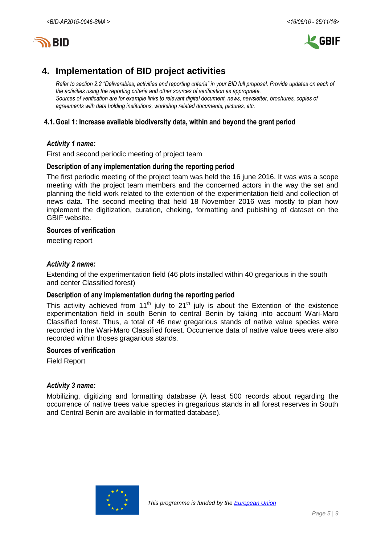

## **4. Implementation of BID project activities**

*Refer to section 2.2 "Deliverables, activities and reporting criteria" in your BID full proposal. Provide updates on each of the activities using the reporting criteria and other sources of verification as appropriate. Sources of verification are for example links to relevant digital document, news, newsletter, brochures, copies of agreements with data holding institutions, workshop related documents, pictures, etc.*

#### **4.1.Goal 1: Increase available biodiversity data, within and beyond the grant period**

#### *Activity 1 name:*

First and second periodic meeting of project team

#### **Description of any implementation during the reporting period**

The first periodic meeting of the project team was held the 16 june 2016. It was was a scope meeting with the project team members and the concerned actors in the way the set and planning the field work related to the extention of the experimentation field and collection of news data. The second meeting that held 18 November 2016 was mostly to plan how implement the digitization, curation, cheking, formatting and pubishing of dataset on the GBIF website.

#### **Sources of verification**

meeting report

#### *Activity 2 name:*

Extending of the experimentation field (46 plots installed within 40 gregarious in the south and center Classified forest)

#### **Description of any implementation during the reporting period**

This activity achieved from 11<sup>th</sup> july to 21<sup>th</sup> july is about the Extention of the existence experimentation field in south Benin to central Benin by taking into account Wari-Maro Classified forest. Thus, a total of 46 new gregarious stands of native value species were recorded in the Wari-Maro Classified forest. Occurrence data of native value trees were also recorded within thoses gragarious stands.

#### **Sources of verification**

Field Report

#### *Activity 3 name:*

Mobilizing, digitizing and formatting database (A least 500 records about regarding the occurrence of native trees value species in gregarious stands in all forest reserves in South and Central Benin are available in formatted database).

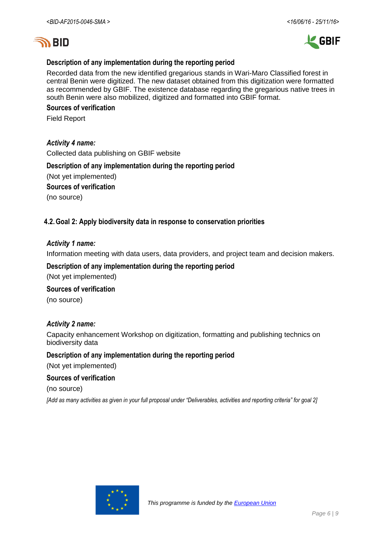

#### **Description of any implementation during the reporting period**

Recorded data from the new identified gregarious stands in Wari-Maro Classified forest in central Benin were digitized. The new dataset obtained from this digitization were formatted as recommended by GBIF. The existence database regarding the gregarious native trees in south Benin were also mobilized, digitized and formatted into GBIF format.

#### **Sources of verification**

Field Report

#### *Activity 4 name:*

Collected data publishing on GBIF website

#### **Description of any implementation during the reporting period**

(Not yet implemented)

**Sources of verification**

(no source)

#### **4.2.Goal 2: Apply biodiversity data in response to conservation priorities**

#### *Activity 1 name:*

Information meeting with data users, data providers, and project team and decision makers.

### **Description of any implementation during the reporting period**

(Not yet implemented)

#### **Sources of verification**

(no source)

#### *Activity 2 name:*

Capacity enhancement Workshop on digitization, formatting and publishing technics on biodiversity data

#### **Description of any implementation during the reporting period**

(Not yet implemented)

#### **Sources of verification**

(no source)

*[Add as many activities as given in your full proposal under "Deliverables, activities and reporting criteria" for goal 2]*

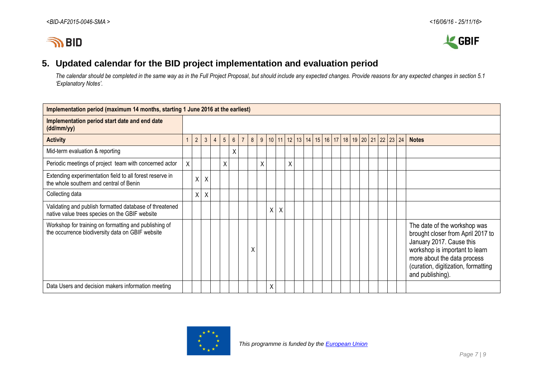



## **5. Updated calendar for the BID project implementation and evaluation period**

*The calendar should be completed in the same way as in the Full Project Proposal, but should include any expected changes. Provide reasons for any expected changes in section 5.1 'Explanatory Notes'.*

| Implementation period (maximum 14 months, starting 1 June 2016 at the earliest)                           |   |                |         |                |                 |                 |                |   |   |                  |   |   |             |  |                   |  |  |              |                                                                                                                                                                                                                           |
|-----------------------------------------------------------------------------------------------------------|---|----------------|---------|----------------|-----------------|-----------------|----------------|---|---|------------------|---|---|-------------|--|-------------------|--|--|--------------|---------------------------------------------------------------------------------------------------------------------------------------------------------------------------------------------------------------------------|
| Implementation period start date and end date<br>(dd/mm/yy)                                               |   |                |         |                |                 |                 |                |   |   |                  |   |   |             |  |                   |  |  |              |                                                                                                                                                                                                                           |
| <b>Activity</b>                                                                                           |   | $\overline{2}$ | 3       | $\overline{4}$ | $5\phantom{.0}$ | $6\overline{6}$ | $\overline{7}$ | 8 |   | 9   10   11   12 |   |   | 13 14 15 16 |  | 17 18 19 20 21 22 |  |  | $23 \mid 24$ | <b>Notes</b>                                                                                                                                                                                                              |
| Mid-term evaluation & reporting                                                                           |   |                |         |                |                 | X               |                |   |   |                  |   |   |             |  |                   |  |  |              |                                                                                                                                                                                                                           |
| Periodic meetings of project team with concerned actor                                                    | X |                |         |                | X               |                 |                |   | Χ |                  |   | Χ |             |  |                   |  |  |              |                                                                                                                                                                                                                           |
| Extending experimentation field to all forest reserve in<br>the whole southern and central of Benin       |   | $\mathsf{X}$   | $\sf X$ |                |                 |                 |                |   |   |                  |   |   |             |  |                   |  |  |              |                                                                                                                                                                                                                           |
| Collecting data                                                                                           |   | $\mathsf{X}$   | $\sf X$ |                |                 |                 |                |   |   |                  |   |   |             |  |                   |  |  |              |                                                                                                                                                                                                                           |
| Validating and publish formatted database of threatened<br>native value trees species on the GBIF website |   |                |         |                |                 |                 |                |   |   | Χ                | Χ |   |             |  |                   |  |  |              |                                                                                                                                                                                                                           |
| Workshop for training on formatting and publishing of<br>the occurrence biodiversity data on GBIF website |   |                |         |                |                 |                 |                | χ |   |                  |   |   |             |  |                   |  |  |              | The date of the workshop was<br>brought closer from April 2017 to<br>January 2017. Cause this<br>workshop is important to learn<br>more about the data process<br>(curation, digitization, formatting<br>and publishing). |
| Data Users and decision makers information meeting                                                        |   |                |         |                |                 |                 |                |   |   | Χ                |   |   |             |  |                   |  |  |              |                                                                                                                                                                                                                           |

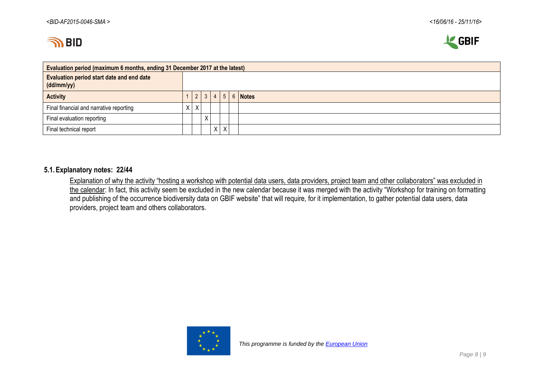



| Evaluation period (maximum 6 months, ending 31 December 2017 at the latest) |    |   |            |   |   |  |         |  |  |  |  |  |  |
|-----------------------------------------------------------------------------|----|---|------------|---|---|--|---------|--|--|--|--|--|--|
| Evaluation period start date and end date<br>(dd/mm/yy)                     |    |   |            |   |   |  |         |  |  |  |  |  |  |
| <b>Activity</b>                                                             |    |   | $2 \mid 3$ |   | 5 |  | 6 Notes |  |  |  |  |  |  |
| Final financial and narrative reporting                                     | X. | X |            |   |   |  |         |  |  |  |  |  |  |
| Final evaluation reporting                                                  |    |   | N<br>⋏     |   |   |  |         |  |  |  |  |  |  |
| Final technical report                                                      |    |   |            | X |   |  |         |  |  |  |  |  |  |

#### **5.1.Explanatory notes: 22/44**

Explanation of why the activity "hosting a workshop with potential data users, data providers, project team and other collaborators" was excluded in the calendar: In fact, this activity seem be excluded in the new calendar because it was merged with the activity "Workshop for training on formatting and publishing of the occurrence biodiversity data on GBIF website" that will require, for it implementation, to gather potential data users, data providers, project team and others collaborators.